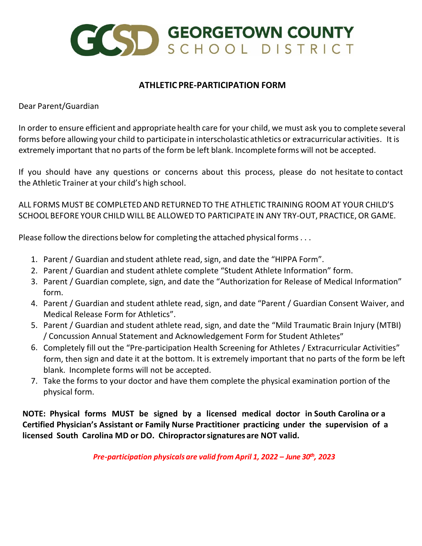

## **ATHLETIC PRE-PARTICIPATION FORM**

Dear Parent/Guardian

In order to ensure efficient and appropriate health care for your child, we must ask you to complete several forms before allowing your child to participate in interscholastic athletics or extracurricular activities. It is extremely important that no parts of the form be left blank. Incomplete forms will not be accepted.

If you should have any questions or concerns about this process, please do not hesitate to contact the Athletic Trainer at your child's high school.

ALL FORMS MUST BE COMPLETEDAND RETURNEDTO THE ATHLETIC TRAINING ROOM AT YOUR CHILD'S SCHOOL BEFORE YOUR CHILD WILL BE ALLOWED TO PARTICIPATE IN ANY TRY-OUT, PRACTICE,OR GAME.

Please follow the directions below for completing the attached physical forms. . .

- 1. Parent / Guardian and student athlete read, sign, and date the "HIPPA Form".
- 2. Parent / Guardian and student athlete complete "Student Athlete Information" form.
- 3. Parent / Guardian complete, sign, and date the "Authorization for Release of Medical Information" form.
- 4. Parent / Guardian and student athlete read, sign, and date "Parent / Guardian Consent Waiver, and Medical Release Form for Athletics".
- 5. Parent / Guardian and student athlete read, sign, and date the "Mild Traumatic Brain Injury (MTBI) / Concussion Annual Statement and Acknowledgement Form for Student Athletes"
- 6. Completely fill out the "Pre-participation Health Screening for Athletes / Extracurricular Activities" form, then sign and date it at the bottom. It is extremely important that no parts of the form be left blank. Incomplete forms will not be accepted.
- 7. Take the forms to your doctor and have them complete the physical examination portion of the physical form.

**NOTE: Physical forms MUST be signed by a licensed medical doctor in South Carolina or a Certified Physician's Assistant or Family Nurse Practitioner practicing under the supervision of a licensed South Carolina MD or DO. Chiropractorsignatures are NOT valid.**

*Pre-participation physicals are valid from April 1, 2022 – June 30th, 2023*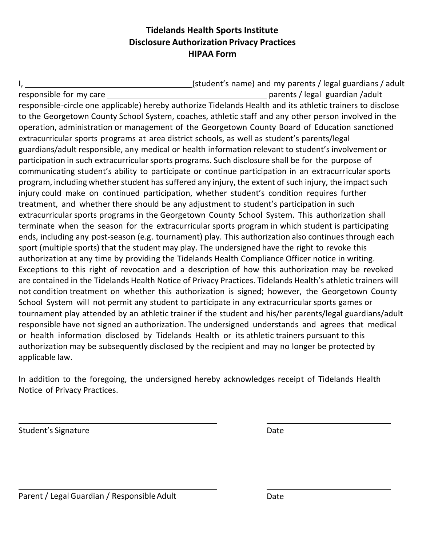## **Tidelands Health Sports Institute Disclosure Authorization Privacy Practices HIPAA Form**

I, 1. 2012 1. (student's name) and my parents / legal guardians / adult responsible for my care parents / legal guardian /adult responsible-circle one applicable) hereby authorize Tidelands Health and its athletic trainers to disclose to the Georgetown County School System, coaches, athletic staff and any other person involved in the operation, administration or management of the Georgetown County Board of Education sanctioned extracurricular sports programs at area district schools, as well as student's parents/legal guardians/adult responsible, any medical or health information relevant to student's involvement or participation in such extracurricular sports programs. Such disclosure shall be for the purpose of communicating student's ability to participate or continue participation in an extracurricular sports program, including whether student has suffered any injury, the extent of such injury, the impact such injury could make on continued participation, whether student's condition requires further treatment, and whether there should be any adjustment to student's participation in such extracurricular sports programs in the Georgetown County School System. This authorization shall terminate when the season for the extracurricular sports program in which student is participating ends, including any post-season (e.g. tournament) play. This authorization also continues through each sport (multiple sports) that the student may play. The undersigned have the right to revoke this authorization at any time by providing the Tidelands Health Compliance Officer notice in writing. Exceptions to this right of revocation and a description of how this authorization may be revoked are contained in the Tidelands Health Notice of Privacy Practices. Tidelands Health's athletic trainers will not condition treatment on whether this authorization is signed; however, the Georgetown County School System will not permit any student to participate in any extracurricular sports games or tournament play attended by an athletic trainer if the student and his/her parents/legal guardians/adult responsible have not signed an authorization. The undersigned understands and agrees that medical or health information disclosed by Tidelands Health or its athletic trainers pursuant to this authorization may be subsequently disclosed by the recipient and may no longer be protected by applicable law.

In addition to the foregoing, the undersigned hereby acknowledges receipt of Tidelands Health Notice of Privacy Practices.

Student's Signature Date Date Date Date

Parent / Legal Guardian / Responsible Adult Date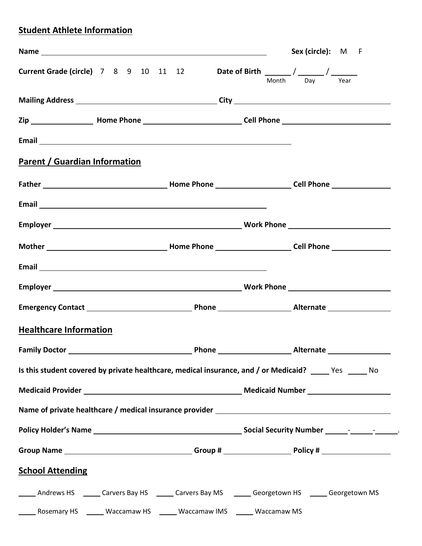# **Student Athlete Information**

|                                                                                                                                                                                                                                |  |                                                                       | Sex (circle): M F                                                                                              |
|--------------------------------------------------------------------------------------------------------------------------------------------------------------------------------------------------------------------------------|--|-----------------------------------------------------------------------|----------------------------------------------------------------------------------------------------------------|
|                                                                                                                                                                                                                                |  |                                                                       | Month Day Year                                                                                                 |
|                                                                                                                                                                                                                                |  |                                                                       |                                                                                                                |
|                                                                                                                                                                                                                                |  |                                                                       |                                                                                                                |
|                                                                                                                                                                                                                                |  |                                                                       |                                                                                                                |
| <b>Parent / Guardian Information</b>                                                                                                                                                                                           |  |                                                                       |                                                                                                                |
|                                                                                                                                                                                                                                |  |                                                                       |                                                                                                                |
| Email experience and the contract of the contract of the contract of the contract of the contract of the contract of the contract of the contract of the contract of the contract of the contract of the contract of the contr |  |                                                                       |                                                                                                                |
|                                                                                                                                                                                                                                |  |                                                                       |                                                                                                                |
|                                                                                                                                                                                                                                |  |                                                                       |                                                                                                                |
|                                                                                                                                                                                                                                |  |                                                                       |                                                                                                                |
|                                                                                                                                                                                                                                |  |                                                                       |                                                                                                                |
|                                                                                                                                                                                                                                |  |                                                                       |                                                                                                                |
| <b>Healthcare Information</b>                                                                                                                                                                                                  |  |                                                                       |                                                                                                                |
|                                                                                                                                                                                                                                |  |                                                                       |                                                                                                                |
|                                                                                                                                                                                                                                |  |                                                                       | Is this student covered by private healthcare, medical insurance, and / or Medicaid? Yes No                    |
|                                                                                                                                                                                                                                |  |                                                                       |                                                                                                                |
|                                                                                                                                                                                                                                |  |                                                                       |                                                                                                                |
|                                                                                                                                                                                                                                |  |                                                                       |                                                                                                                |
|                                                                                                                                                                                                                                |  |                                                                       | Group Name __________________________________Group # ___________________________Policy # _____________________ |
| <b>School Attending</b>                                                                                                                                                                                                        |  |                                                                       |                                                                                                                |
|                                                                                                                                                                                                                                |  |                                                                       | ______ Andrews HS ______ Carvers Bay HS ______ Carvers Bay MS ______ Georgetown HS ______ Georgetown MS        |
|                                                                                                                                                                                                                                |  | Rosemary HS ______ Waccamaw HS ______ Waccamaw IMS ______ Waccamaw MS |                                                                                                                |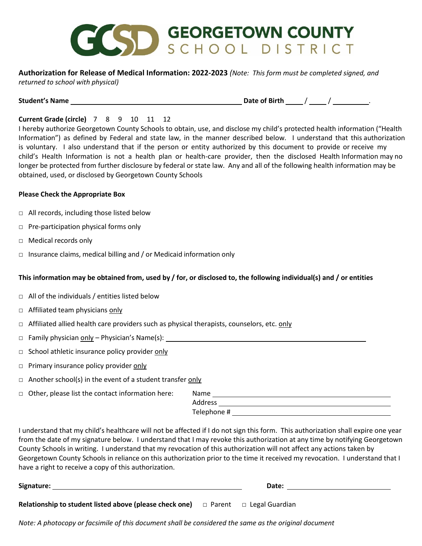

#### **Authorization for Release of Medical Information: 2022-2023** *(Note: This form must be completed signed, and returned to school with physical)*

**Student's Name** 1. **Date of Birth** 1. **Date of Birth** 2. *Date of Birth* **2.** *A* **2.** *A* **2.** *A* **2.** *A* **2.** *A* **2.** *A* **2.** *A* **2.** *A* **2.** *A* **2.** *A* **2.** *A* **2.** *A* **2.** *A* **2.** *A* **2.** *A* **2.** *A* **2.** *A* **2.** *A* **2.** *A* **2.** *A* **2.** *A*

## **Current Grade (circle)** 7 8 9 10 11 12

I hereby authorize Georgetown County Schools to obtain, use, and disclose my child's protected health information ("Health Information") as defined by Federal and state law, in the manner described below. I understand that this authorization is voluntary. I also understand that if the person or entity authorized by this document to provide or receive my child's Health Information is not a health plan or health-care provider, then the disclosed Health Information may no longer be protected from further disclosure by federal or state law. Any and all of the following health information may be obtained, used, or disclosed by Georgetown County Schools

### **Please Check the Appropriate Box**

- □ All records, including those listed below
- □ Pre-participation physical forms only
- □ Medical records only
- $\Box$  Insurance claims, medical billing and / or Medicaid information only

## **This information may be obtained from, used by / for, or disclosed to, the following individual(s) and / or entities**

- $\Box$  All of the individuals / entities listed below
- □ Affiliated team physicians only
- $\Box$  Affiliated allied health care providers such as physical therapists, counselors, etc. only
- □ Family physician only Physician's Name(s):
- □ School athletic insurance policy provider only
- $\Box$  Primary insurance policy provider only
- $\Box$  Another school(s) in the event of a student transfer only
- $\Box$  Other, please list the contact information here:

| Name        |  |  |
|-------------|--|--|
| Address     |  |  |
| Telephone # |  |  |

I understand that my child's healthcare will not be affected if I do not sign this form. This authorization shall expire one year from the date of my signature below. I understand that I may revoke this authorization at any time by notifying Georgetown County Schools in writing. I understand that my revocation of this authorization will not affect any actions taken by Georgetown County Schools in reliance on this authorization prior to the time it received my revocation. I understand that I have a right to receive a copy of this authorization.

| Signature:                                                                   | Date: |                  |  |
|------------------------------------------------------------------------------|-------|------------------|--|
|                                                                              |       |                  |  |
| <b>Relationship to student listed above (please check one)</b> $\Box$ Parent |       | □ Legal Guardian |  |

*Note: A photocopy or facsimile of this document shall be considered the same as the original document*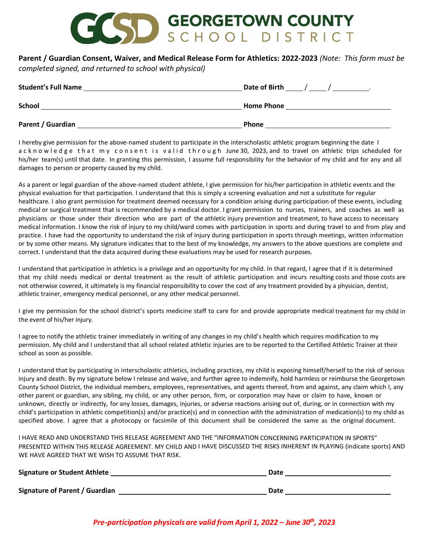# CCSD GEORGETOWN COUNTY

**Parent / Guardian Consent, Waiver, and Medical Release Form for Athletics: 2022-2023** *(Note: This form must be* 

*completed signed, and returned to school with physical)*

| <b>Student's Full Name</b> | Date of Birth     |
|----------------------------|-------------------|
| <b>School</b>              | <b>Home Phone</b> |
| Parent / Guardian          | <b>Phone</b>      |

I hereby give permission for the above-named student to participate in the interscholastic athletic program beginning the date I acknowledge that my consent is valid through June 30, 2023, and to travel on athletic trips scheduled for his/her team(s) until that date. In granting this permission, I assume full responsibility for the behavior of my child and for any and all damages to person or property caused by my child.

As a parent or legal guardian of the above-named student athlete, I give permission for his/her participation in athletic events and the physical evaluation for that participation. I understand that this is simply a screening evaluation and not a substitute for regular healthcare. I also grant permission for treatment deemed necessary for a condition arising during participation of these events, including medical or surgical treatment that is recommended by a medical doctor. I grant permission to nurses, trainers, and coaches as well as physicians or those under their direction who are part of the athletic injury prevention and treatment, to have access to necessary medical information. I know the risk of injury to my child/ward comes with participation in sports and during travel to and from play and practice. I have had the opportunity to understand the risk of injury during participation in sports through meetings, written information or by some other means. My signature indicates that to the best of my knowledge, my answers to the above questions are complete and correct. I understand that the data acquired during these evaluations may be used for research purposes.

I understand that participation in athletics is a privilege and an opportunity for my child. In that regard, I agree that if it is determined that my child needs medical or dental treatment as the result of athletic participation and incurs resulting costs and those costs are not otherwise covered, it ultimately is my financial responsibility to cover the cost of any treatment provided by a physician, dentist, athletic trainer, emergency medical personnel, or any other medical personnel.

I give my permission for the school district's sports medicine staff to care for and provide appropriate medical treatment for my child in the event of his/her injury.

I agree to notify the athletic trainer immediately in writing of any changes in my child's health which requires modification to my permission. My child and I understand that all school related athletic injuries are to be reported to the Certified Athletic Trainer at their school as soon as possible.

I understand that by participating in interscholastic athletics, including practices, my child is exposing himself/herself to the risk of serious injury and death. By my signature below I release and waive, and further agree to indemnify, hold harmless or reimburse the Georgetown County School District, the individual members, employees, representatives, and agents thereof, from and against, any claim which I, any other parent or guardian, any sibling, my child, or any other person, firm, or corporation may have or claim to have, known or unknown, directly or indirectly, for any losses, damages, injuries, or adverse reactions arising out of, during, or in connection with my child's participation in athletic competition(s) and/or practice(s) and in connection with the administration of medication(s) to my child as specified above. I agree that a photocopy or facsimile of this document shall be considered the same as the original document.

I HAVE READ AND UNDERSTAND THIS RELEASE AGREEMENT AND THE "INFORMATION CONCERNING PARTICIPATION IN SPORTS" PRESENTED WITHIN THIS RELEASE AGREEMENT. MY CHILD AND I HAVE DISCUSSED THE RISKS INHERENT IN PLAYING (indicate sports) AND WE HAVE AGREED THAT WE WISH TO ASSUME THAT RISK.

| <b>Signature or Student Athlete</b> | Date |
|-------------------------------------|------|
| Signature of Parent / Guardian      | Date |

*Pre-participation physicals are valid from April 1, 2022 – June 30th, 2023*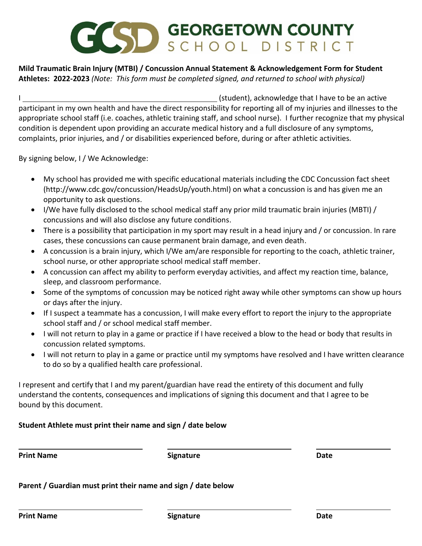# SD GEORGETOWN COUNTY

## **Mild Traumatic Brain Injury (MTBI) / Concussion Annual Statement & Acknowledgement Form for Student Athletes: 2022-2023** *(Note: This form must be completed signed, and returned to school with physical)*

I (student), acknowledge that I have to be an active participant in my own health and have the direct responsibility for reporting all of my injuries and illnesses to the appropriate school staff (i.e. coaches, athletic training staff, and school nurse). I further recognize that my physical condition is dependent upon providing an accurate medical history and a full disclosure of any symptoms, complaints, prior injuries, and / or disabilities experienced before, during or after athletic activities.

By signing below, I / We Acknowledge:

- My school has provided me with specific educational materials including the CDC Concussion fact sheet [\(http://www.cdc.gov/concussion/HeadsUp/youth.html\)](http://www.cdc.gov/concussion/HeadsUp/youth.html)) on what a concussion is and has given me an opportunity to ask questions.
- I/We have fully disclosed to the school medical staff any prior mild traumatic brain injuries (MBTI) / concussions and will also disclose any future conditions.
- There is a possibility that participation in my sport may result in a head injury and / or concussion. In rare cases, these concussions can cause permanent brain damage, and even death.
- A concussion is a brain injury, which I/We am/are responsible for reporting to the coach, athletic trainer, school nurse, or other appropriate school medical staff member.
- A concussion can affect my ability to perform everyday activities, and affect my reaction time, balance, sleep, and classroom performance.
- Some of the symptoms of concussion may be noticed right away while other symptoms can show up hours or days after the injury.
- If I suspect a teammate has a concussion, I will make every effort to report the injury to the appropriate school staff and / or school medical staff member.
- I will not return to play in a game or practice if I have received a blow to the head or body that results in concussion related symptoms.
- I will not return to play in a game or practice until my symptoms have resolved and I have written clearance to do so by a qualified health care professional.

I represent and certify that I and my parent/guardian have read the entirety of this document and fully understand the contents, consequences and implications of signing this document and that I agree to be bound by this document.

## **Student Athlete must print their name and sign / date below**

**Print Name Signature Signature Signature Date** 

**Parent / Guardian must print their name and sign / date below**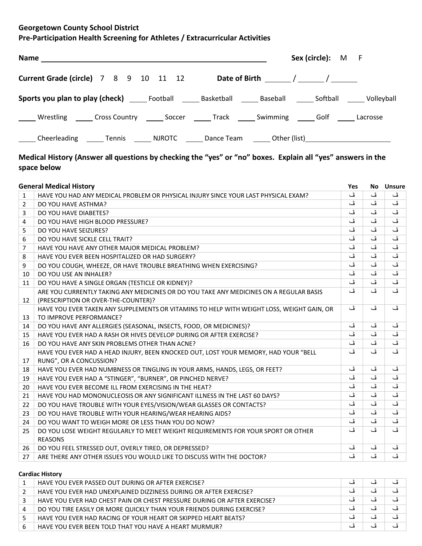## **Georgetown County School District**

## **Pre-Participation Health Screening for Athletes / Extracurricular Activities**

|  |  |  |                                                                                         |  | Sex (circle): M F                                                                                              |  |
|--|--|--|-----------------------------------------------------------------------------------------|--|----------------------------------------------------------------------------------------------------------------|--|
|  |  |  | <b>Current Grade (circle)</b> 7 8 9 10 11 12 Date of Birth $\frac{1}{\sqrt{2}}$         |  |                                                                                                                |  |
|  |  |  |                                                                                         |  |                                                                                                                |  |
|  |  |  | Universiting Cross Country 2000 Soccer 2000 Track 2000 Swimming 2000 Solf 2000 Lacrosse |  |                                                                                                                |  |
|  |  |  |                                                                                         |  | Cheerleading ________ Tennis ________ NJROTC ________ Dance Team _______ Other (list) ________________________ |  |

## **Medical History (Answer all questions by checking the "yes" or "no" boxes. Explain all "yes" answers in the space below**

|                | <b>General Medical History</b>                                                            | <b>Yes</b> | No. | <b>Unsure</b> |
|----------------|-------------------------------------------------------------------------------------------|------------|-----|---------------|
| 1              | HAVE YOU HAD ANY MEDICAL PROBLEM OR PHYSICAL INJURY SINCE YOUR LAST PHYSICAL EXAM?        | ڦ          | ڦ   | ڦ             |
| 2              | DO YOU HAVE ASTHMA?                                                                       | ئی         | ڦ   | ڦ             |
| 3              | DO YOU HAVE DIABETES?                                                                     | ڦ          | ڦ   | ڦ             |
| 4              | DO YOU HAVE HIGH BLOOD PRESSURE?                                                          | ڦ          | ڦ   | ڦ             |
| 5              | DO YOU HAVE SEIZURES?                                                                     | ئ          | ئ   | ڦ             |
| 6              | DO YOU HAVE SICKLE CELL TRAIT?                                                            | ڦ          | ئی  | ئی            |
| $\overline{7}$ | HAVE YOU HAVE ANY OTHER MAJOR MEDICAL PROBLEM?                                            | ڦ          | ئ   | ڦ             |
| 8              | HAVE YOU EVER BEEN HOSPITALIZED OR HAD SURGERY?                                           | ڦ          | ڦ   | ڦ             |
| 9              | DO YOU COUGH, WHEEZE, OR HAVE TROUBLE BREATHING WHEN EXERCISING?                          | ڦ          | ئی  | ڦ             |
| 10             | DO YOU USE AN INHALER?                                                                    | ڦ          | ڦ   | ڦ             |
| 11             | DO YOU HAVE A SINGLE ORGAN (TESTICLE OR KIDNEY)?                                          | ئی         | ئی  | ڦ             |
|                | ARE YOU CURRENTLY TAKING ANY MEDICINES OR DO YOU TAKE ANY MEDICINES ON A REGULAR BASIS    | ئی         | ئ   | ئی            |
| 12             | (PRESCRIPTION OR OVER-THE-COUNTER)?                                                       |            |     |               |
|                | HAVE YOU EVER TAKEN ANY SUPPLEMENTS OR VITAMINS TO HELP WITH WEIGHT LOSS, WEIGHT GAIN, OR | ڦ          | ڦ   | ڦ             |
| 13             | TO IMPROVE PERFORMANCE?                                                                   |            |     |               |
| 14             | DO YOU HAVE ANY ALLERGIES (SEASONAL, INSECTS, FOOD, OR MEDICINES)?                        | ڦ          | ڦ   | ڦ             |
| 15             | HAVE YOU EVER HAD A RASH OR HIVES DEVELOP DURING OR AFTER EXERCISE?                       | ڦ          | ڦ   | ڦ             |
| 16             | DO YOU HAVE ANY SKIN PROBLEMS OTHER THAN ACNE?                                            | ئ          | ئ   | ڦ             |
|                | HAVE YOU EVER HAD A HEAD INJURY, BEEN KNOCKED OUT, LOST YOUR MEMORY, HAD YOUR "BELL       | ئی         | ڦ   | ڦ             |
| 17             | RUNG", OR A CONCUSSION?                                                                   |            |     |               |
| 18             | HAVE YOU EVER HAD NUMBNESS OR TINGLING IN YOUR ARMS, HANDS, LEGS, OR FEET?                | ڦ          | ڦ   | ڦ             |
| 19             | HAVE YOU EVER HAD A "STINGER", "BURNER", OR PINCHED NERVE?                                | ڦ          | ڦ   | ڦ             |
| 20             | HAVE YOU EVER BECOME ILL FROM EXERCISING IN THE HEAT?                                     | ڦ          | ڦ   | ڦ             |
| 21             | HAVE YOU HAD MONONUCLEOSIS OR ANY SIGNIFICANT ILLNESS IN THE LAST 60 DAYS?                | ڦ          | ئ   | ئی            |
| 22             | DO YOU HAVE TROUBLE WITH YOUR EYES/VISION/WEAR GLASSES OR CONTACTS?                       | ڦ          | ئ   | ڦ             |
| 23             | DO YOU HAVE TROUBLE WITH YOUR HEARING/WEAR HEARING AIDS?                                  | ئ          | ئ   | ڦ             |
| 24             | DO YOU WANT TO WEIGH MORE OR LESS THAN YOU DO NOW?                                        | ڦ          | ئی  | ئی            |
| 25             | DO YOU LOSE WEIGHT REGULARLY TO MEET WEIGHT REQUIREMENTS FOR YOUR SPORT OR OTHER          | ڦ          | ڦ   | ڦ             |
|                | <b>REASONS</b>                                                                            |            |     |               |
| 26             | DO YOU FEEL STRESSED OUT, OVERLY TIRED, OR DEPRESSED?                                     | ڦ          | ڦ   | ڦ             |
| 27             | ARE THERE ANY OTHER ISSUES YOU WOULD LIKE TO DISCUSS WITH THE DOCTOR?                     | ئے         | ئ   | ئی            |

### **Cardiac History**

|   | HAVE YOU EVER PASSED OUT DURING OR AFTER EXERCISE?                       | ڡ |  |
|---|--------------------------------------------------------------------------|---|--|
|   | HAVE YOU EVER HAD UNEXPLAINED DIZZINESS DURING OR AFTER EXERCISE?        | ڡ |  |
|   | HAVE YOU EVER HAD CHEST PAIN OR CHEST PRESSURE DURING OR AFTER EXERCISE? | ف |  |
| 4 | DO YOU TIRE EASILY OR MORE QUICKLY THAN YOUR FRIENDS DURING EXERCISE?    |   |  |
|   | HAVE YOU EVER HAD RACING OF YOUR HEART OR SKIPPED HEART BEATS?           |   |  |
| 6 | HAVE YOU EVER BEEN TOLD THAT YOU HAVE A HEART MURMUR?                    | ڡ |  |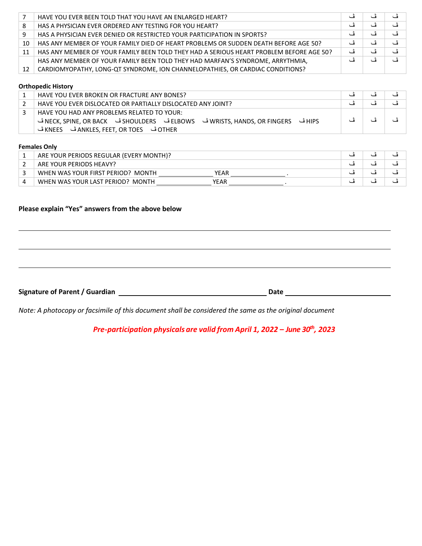|    | HAVE YOU EVER BEEN TOLD THAT YOU HAVE AN ENLARGED HEART?                                |   |  |
|----|-----------------------------------------------------------------------------------------|---|--|
| 8  | HAS A PHYSICIAN EVER ORDERED ANY TESTING FOR YOU HEART?                                 | ف |  |
| 9  | HAS A PHYSICIAN EVER DENIED OR RESTRICTED YOUR PARTICIPATION IN SPORTS?                 | ڦ |  |
| 10 | HAS ANY MEMBER OF YOUR FAMILY DIED OF HEART PROBLEMS OR SUDDEN DEATH BEFORE AGE 50?     | ف |  |
| 11 | HAS ANY MEMBER OF YOUR FAMILY BEEN TOLD THEY HAD A SERIOUS HEART PROBLEM BEFORE AGE 50? | ڦ |  |
|    | HAS ANY MEMBER OF YOUR FAMILY BEEN TOLD THEY HAD MARFAN'S SYNDROME, ARRYTHMIA,          |   |  |
| 12 | CARDIOMYOPATHY, LONG-QT SYNDROME, ION CHANNELOPATHIES, OR CARDIAC CONDITIONS?           |   |  |

#### **Orthopedic History**

| HAVE YOU EVER BROKEN OR FRACTURE ANY BONES?                                                                                      |  |  |
|----------------------------------------------------------------------------------------------------------------------------------|--|--|
| HAVE YOU EVER DISLOCATED OR PARTIALLY DISLOCATED ANY JOINT?                                                                      |  |  |
| HAVE YOU HAD ANY PROBLEMS RELATED TO YOUR:<br>HIPS ڤ   NECK, SPINE, OR BACK ڤ   SHOULDERS ڤ   SHOULDERS ڤ   NECK, SPINE, OR BACK |  |  |

#### **Females Only**

| ARE YOUR PERIODS REGULAR (EVERY MONTH)?   |  |  |
|-------------------------------------------|--|--|
| ARE YOUR PERIODS HEAVY?                   |  |  |
| WHEN WAS YOUR FIRST PERIOD? MONTH<br>YEAR |  |  |
| WHEN WAS YOUR LAST PERIOD? MONTH<br>YEAR  |  |  |

#### **Please explain "Yes" answers from the above below**

Signature of Parent / Guardian **Date Date Date Date Date Date Date Date Date Date Date Date Date Date Date Date Date Date Date Date Date Date Date Date Date D** 

*Note: A photocopy or facsimile of this document shall be considered the same as the original document* 

*Pre-participation physicals are valid from April 1, 2022 – June 30th, 2023*